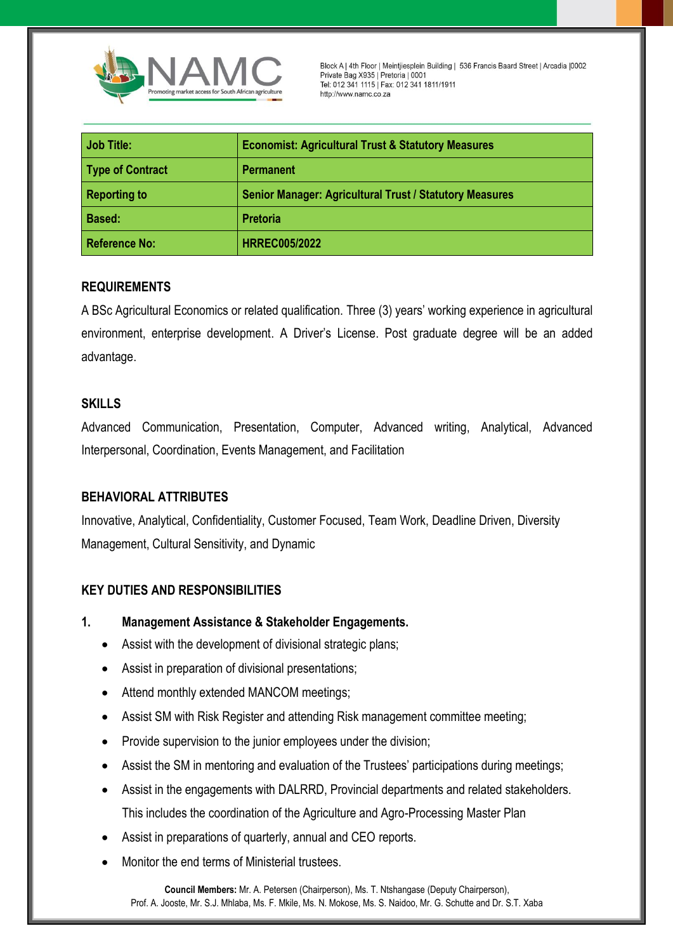

Block A | 4th Floor | Meintjiesplein Building | 536 Francis Baard Street | Arcadia | 0002<br>Private Bag X935 | Pretoria | 0001 Tel: 012 341 1115 | Fax: 012 341 1811/1911 http://www.namc.co.za

| <b>Job Title:</b>    | <b>Economist: Agricultural Trust &amp; Statutory Measures</b>  |
|----------------------|----------------------------------------------------------------|
| Type of Contract     | <b>Permanent</b>                                               |
| <b>Reporting to</b>  | <b>Senior Manager: Agricultural Trust / Statutory Measures</b> |
| Based:               | <b>Pretoria</b>                                                |
| <b>Reference No:</b> | <b>HRREC005/2022</b>                                           |

# **REQUIREMENTS**

A BSc Agricultural Economics or related qualification. Three (3) years' working experience in agricultural environment, enterprise development. A Driver's License. Post graduate degree will be an added advantage.

# **SKILLS**

Advanced Communication, Presentation, Computer, Advanced writing, Analytical, Advanced Interpersonal, Coordination, Events Management, and Facilitation

### **BEHAVIORAL ATTRIBUTES**

Innovative, Analytical, Confidentiality, Customer Focused, Team Work, Deadline Driven, Diversity Management, Cultural Sensitivity, and Dynamic

### **KEY DUTIES AND RESPONSIBILITIES**

- **1. Management Assistance & Stakeholder Engagements.**
	- Assist with the development of divisional strategic plans;
	- Assist in preparation of divisional presentations;
	- Attend monthly extended MANCOM meetings;
	- Assist SM with Risk Register and attending Risk management committee meeting;
	- Provide supervision to the junior employees under the division;
	- Assist the SM in mentoring and evaluation of the Trustees' participations during meetings;
	- Assist in the engagements with DALRRD, Provincial departments and related stakeholders. This includes the coordination of the Agriculture and Agro-Processing Master Plan
	- Assist in preparations of quarterly, annual and CEO reports.
	- Monitor the end terms of Ministerial trustees.

**Council Members:** Mr. A. Petersen (Chairperson), Ms. T. Ntshangase (Deputy Chairperson), Prof. A. Jooste, Mr. S.J. Mhlaba, Ms. F. Mkile, Ms. N. Mokose, Ms. S. Naidoo, Mr. G. Schutte and Dr. S.T. Xaba